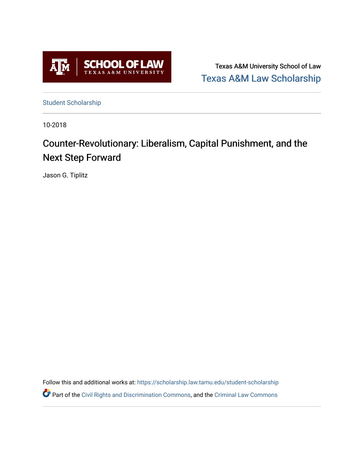

Texas A&M University School of Law [Texas A&M Law Scholarship](https://scholarship.law.tamu.edu/) 

[Student Scholarship](https://scholarship.law.tamu.edu/student-scholarship)

10-2018

# Counter-Revolutionary: Liberalism, Capital Punishment, and the Next Step Forward

Jason G. Tiplitz

Follow this and additional works at: [https://scholarship.law.tamu.edu/student-scholarship](https://scholarship.law.tamu.edu/student-scholarship?utm_source=scholarship.law.tamu.edu%2Fstudent-scholarship%2F20&utm_medium=PDF&utm_campaign=PDFCoverPages)  Part of the [Civil Rights and Discrimination Commons,](https://network.bepress.com/hgg/discipline/585?utm_source=scholarship.law.tamu.edu%2Fstudent-scholarship%2F20&utm_medium=PDF&utm_campaign=PDFCoverPages) and the [Criminal Law Commons](https://network.bepress.com/hgg/discipline/912?utm_source=scholarship.law.tamu.edu%2Fstudent-scholarship%2F20&utm_medium=PDF&utm_campaign=PDFCoverPages)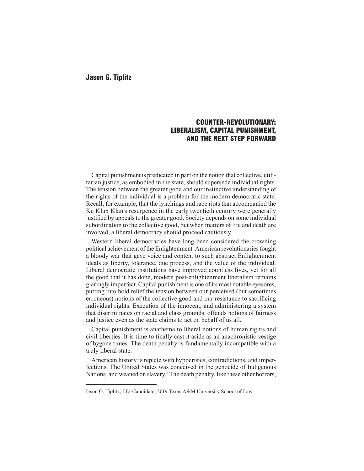# COUNTER-REVOLUTIONARY: LIBERALISM, CAPITAL PUNISHMENT, AND THE NEXT STEP FORWARD

Capital punishment is predicated in part on the notion that collective, utilitarian justice, as embodied in the state, should supersede individual rights. The tension between the greater good and our instinctive understanding of the rights of the individual is a problem for the modern democratic state. Recall, for example, that the lynchings and race riots that accompanied the Ku Klux Klan's resurgence in the early twentieth century were generally justifed by appeals to the greater good. Society depends on some individual subordination to the collective good, but when matters of life and death are involved, a liberal democracy should proceed cautiously.

Western liberal democracies have long been considered the crowning political achievement of the Enlightenment. American revolutionaries fought a bloody war that gave voice and content to such abstract Enlightenment ideals as liberty, tolerance, due process, and the value of the individual. Liberal democratic institutions have improved countless lives, yet for all the good that it has done, modern post-enlightenment liberalism remains glaringly imperfect. Capital punishment is one of its most notable eyesores, putting into bold relief the tension between our perceived (but sometimes erroneous) notions of the collective good and our resistance to sacrifcing individual rights. Execution of the innocent, and administering a system that discriminates on racial and class grounds, offends notions of fairness and justice even as the state claims to act on behalf of us all.<sup>1</sup>

Capital punishment is anathema to liberal notions of human rights and civil liberties. It is time to fnally cast it aside as an anachronistic vestige of bygone times. The death penalty is fundamentally incompatible with a truly liberal state.

American history is replete with hypocrisies, contradictions, and imperfections. The United States was conceived in the genocide of Indigenous Nations<sup>2</sup> and weaned on slavery.<sup>3</sup> The death penalty, like these other horrors,

Jason G. Tiplitz, J.D. Candidate, 2019 Texas A&M University School of Law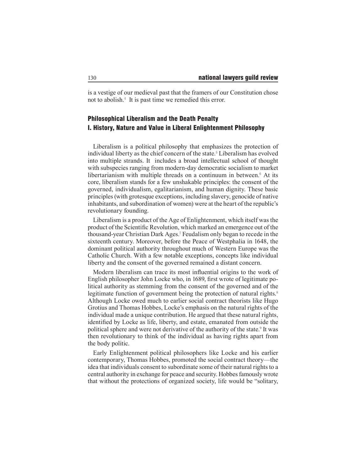is a vestige of our medieval past that the framers of our Constitution chose not to abolish.<sup>4</sup> It is past time we remedied this error.

# Philosophical Liberalism and the Death Penalty I. History, Nature and Value in Liberal Enlightenment Philosophy

Liberalism is a political philosophy that emphasizes the protection of individual liberty as the chief concern of the state.<sup>5</sup> Liberalism has evolved into multiple strands. It includes a broad intellectual school of thought with subspecies ranging from modern-day democratic socialism to market libertarianism with multiple threads on a continuum in between.<sup>6</sup> At its core, liberalism stands for a few unshakable principles: the consent of the governed, individualism, egalitarianism, and human dignity. These basic principles (with grotesque exceptions, including slavery, genocide of native inhabitants, and subordination of women) were at the heart of the republic's revolutionary founding.

Liberalism is a product of the Age of Enlightenment, which itself was the product of the Scientifc Revolution, which marked an emergence out of the thousand-year Christian Dark Ages.<sup>7</sup> Feudalism only began to recede in the sixteenth century. Moreover, before the Peace of Westphalia in 1648, the dominant political authority throughout much of Western Europe was the Catholic Church. With a few notable exceptions, concepts like individual liberty and the consent of the governed remained a distant concern.

Modern liberalism can trace its most infuential origins to the work of English philosopher John Locke who, in 1689, frst wrote of legitimate political authority as stemming from the consent of the governed and of the legitimate function of government being the protection of natural rights.<sup>8</sup> Although Locke owed much to earlier social contract theorists like Hugo Grotius and Thomas Hobbes, Locke's emphasis on the natural rights of the individual made a unique contribution. He argued that these natural rights, identifed by Locke as life, liberty, and estate, emanated from outside the political sphere and were not derivative of the authority of the state.<sup>9</sup> It was then revolutionary to think of the individual as having rights apart from the body politic.

Early Enlightenment political philosophers like Locke and his earlier contemporary, Thomas Hobbes, promoted the social contract theory—the idea that individuals consent to subordinate some of their natural rights to a central authority in exchange for peace and security. Hobbes famously wrote that without the protections of organized society, life would be "solitary,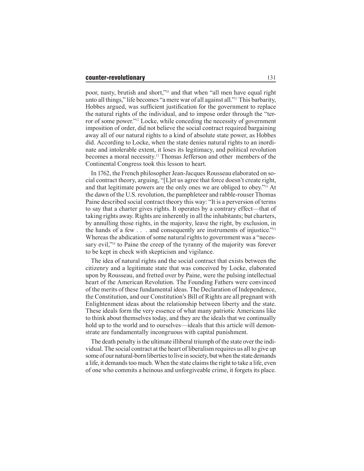poor, nasty, brutish and short,"10 and that when "all men have equal right unto all things," life becomes "a mere war of all against all."11 This barbarity, Hobbes argued, was suffcient justifcation for the government to replace the natural rights of the individual, and to impose order through the "terror of some power."12 Locke, while conceding the necessity of government imposition of order, did not believe the social contract required bargaining away all of our natural rights to a kind of absolute state power, as Hobbes did. According to Locke, when the state denies natural rights to an inordinate and intolerable extent, it loses its legitimacy, and political revolution becomes a moral necessity.13 Thomas Jefferson and other members of the Continental Congress took this lesson to heart.

In 1762, the French philosopher Jean-Jacques Rousseau elaborated on social contract theory, arguing, "[L]et us agree that force doesn't create right, and that legitimate powers are the only ones we are obliged to obey."14 At the dawn of the U.S. revolution, the pamphleteer and rabble-rouser Thomas Paine described social contract theory this way: "It is a perversion of terms to say that a charter gives rights. It operates by a contrary effect—that of taking rights away. Rights are inherently in all the inhabitants; but charters, by annulling those rights, in the majority, leave the right, by exclusion, in the hands of a few . . . and consequently are instruments of injustice."<sup>15</sup> Whereas the abdication of some natural rights to government was a "necessary evil,"<sup>16</sup> to Paine the creep of the tyranny of the majority was forever to be kept in check with skepticism and vigilance.

The idea of natural rights and the social contract that exists between the citizenry and a legitimate state that was conceived by Locke, elaborated upon by Rousseau, and fretted over by Paine, were the pulsing intellectual heart of the American Revolution. The Founding Fathers were convinced of the merits of these fundamental ideas. The Declaration of Independence, the Constitution, and our Constitution's Bill of Rights are all pregnant with Enlightenment ideas about the relationship between liberty and the state. These ideals form the very essence of what many patriotic Americans like to think about themselves today, and they are the ideals that we continually hold up to the world and to ourselves—ideals that this article will demonstrate are fundamentally incongruous with capital punishment.

The death penalty is the ultimate illiberal triumph of the state over the individual. The social contract at the heart of liberalism requires us all to give up some of our natural-born liberties to live in society, but when the state demands a life, it demands too much. When the state claims the right to take a life, even of one who commits a heinous and unforgiveable crime, it forgets its place.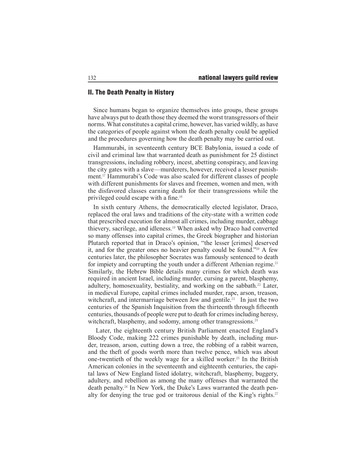# II. The Death Penalty in History

Since humans began to organize themselves into groups, these groups have always put to death those they deemed the worst transgressors of their norms. What constitutes a capital crime, however, has varied wildly, as have the categories of people against whom the death penalty could be applied and the procedures governing how the death penalty may be carried out.

Hammurabi, in seventeenth century BCE Babylonia, issued a code of civil and criminal law that warranted death as punishment for 25 distinct transgressions, including robbery, incest, abetting conspiracy, and leaving the city gates with a slave—murderers, however, received a lesser punishment.17 Hammurabi's Code was also scaled for different classes of people with different punishments for slaves and freemen, women and men, with the disfavored classes earning death for their transgressions while the privileged could escape with a fne.<sup>18</sup>

In sixth century Athens, the democratically elected legislator, Draco, replaced the oral laws and traditions of the city-state with a written code that prescribed execution for almost all crimes, including murder, cabbage thievery, sacrilege, and idleness.19 When asked why Draco had converted so many offenses into capital crimes, the Greek biographer and historian Plutarch reported that in Draco's opinion, "the lesser [crimes] deserved it, and for the greater ones no heavier penalty could be found."20 A few centuries later, the philosopher Socrates was famously sentenced to death for impiety and corrupting the youth under a different Athenian regime.<sup>21</sup> Similarly, the Hebrew Bible details many crimes for which death was required in ancient Israel, including murder, cursing a parent, blasphemy, adultery, homosexuality, bestiality, and working on the sabbath.22 Later, in medieval Europe, capital crimes included murder, rape, arson, treason, witchcraft, and intermarriage between Jew and gentile.<sup>23</sup> In just the two centuries of the Spanish Inquisition from the thirteenth through ffteenth centuries, thousands of people were put to death for crimes including heresy, witchcraft, blasphemy, and sodomy, among other transgressions.<sup>24</sup>

 Later, the eighteenth century British Parliament enacted England's Bloody Code, making 222 crimes punishable by death, including murder, treason, arson, cutting down a tree, the robbing of a rabbit warren, and the theft of goods worth more than twelve pence, which was about one-twentieth of the weekly wage for a skilled worker.25 In the British American colonies in the seventeenth and eighteenth centuries, the capital laws of New England listed idolatry, witchcraft, blasphemy, buggery, adultery, and rebellion as among the many offenses that warranted the death penalty.26 In New York, the Duke's Laws warranted the death penalty for denying the true god or traitorous denial of the King's rights.<sup>27</sup>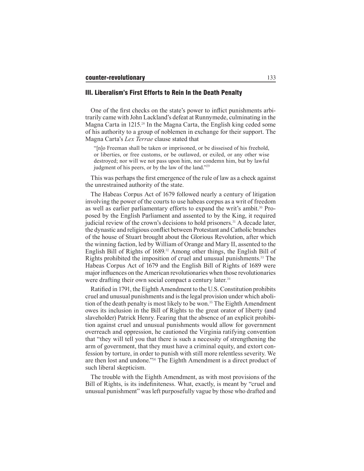#### III. Liberalism's First Efforts to Rein In the Death Penalty

One of the frst checks on the state's power to infict punishments arbitrarily came with John Lackland's defeat at Runnymede, culminating in the Magna Carta in 1215.28 In the Magna Carta, the English king ceded some of his authority to a group of noblemen in exchange for their support. The Magna Carta's *Lex Terrae* clause stated that

"[n]o Freeman shall be taken or imprisoned, or be disseised of his freehold, or liberties, or free customs, or be outlawed, or exiled, or any other wise destroyed; nor will we not pass upon him, nor condemn him, but by lawful judgment of his peers, or by the law of the land."<sup>29</sup>

This was perhaps the frst emergence of the rule of law as a check against the unrestrained authority of the state.

The Habeas Corpus Act of 1679 followed nearly a century of litigation involving the power of the courts to use habeas corpus as a writ of freedom as well as earlier parliamentary efforts to expand the writ's ambit.30 Proposed by the English Parliament and assented to by the King, it required judicial review of the crown's decisions to hold prisoners.<sup>31</sup> A decade later, the dynastic and religious confict between Protestant and Catholic branches of the house of Stuart brought about the Glorious Revolution, after which the winning faction, led by William of Orange and Mary II, assented to the English Bill of Rights of 1689.32 Among other things, the English Bill of Rights prohibited the imposition of cruel and unusual punishments.33 The Habeas Corpus Act of 1679 and the English Bill of Rights of 1689 were major infuences on the American revolutionaries when those revolutionaries were drafting their own social compact a century later.<sup>34</sup>

Ratifed in 1791, the Eighth Amendment to the U.S. Constitution prohibits cruel and unusual punishments and is the legal provision under which abolition of the death penalty is most likely to be won.<sup>35</sup> The Eighth Amendment owes its inclusion in the Bill of Rights to the great orator of liberty (and slaveholder) Patrick Henry. Fearing that the absence of an explicit prohibition against cruel and unusual punishments would allow for government overreach and oppression, he cautioned the Virginia ratifying convention that "they will tell you that there is such a necessity of strengthening the arm of government, that they must have a criminal equity, and extort confession by torture, in order to punish with still more relentless severity. We are then lost and undone."36 The Eighth Amendment is a direct product of such liberal skepticism.

The trouble with the Eighth Amendment, as with most provisions of the Bill of Rights, is its indefniteness. What, exactly, is meant by "cruel and unusual punishment" was left purposefully vague by those who drafted and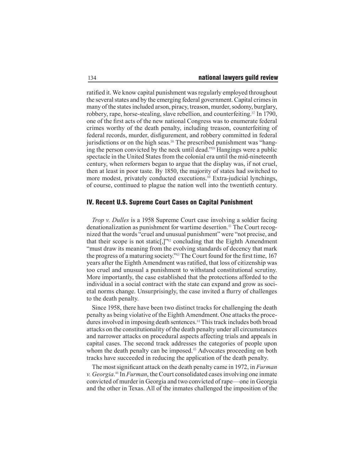ratifed it. We know capital punishment was regularly employed throughout the several states and by the emerging federal government. Capital crimes in many of the states included arson, piracy, treason, murder, sodomy, burglary, robbery, rape, horse-stealing, slave rebellion, and counterfeiting.37 In 1790, one of the frst acts of the new national Congress was to enumerate federal crimes worthy of the death penalty, including treason, counterfeiting of federal records, murder, disfgurement, and robbery committed in federal jurisdictions or on the high seas.<sup>38</sup> The prescribed punishment was "hanging the person convicted by the neck until dead."39 Hangings were a public spectacle in the United States from the colonial era until the mid-nineteenth century, when reformers began to argue that the display was, if not cruel, then at least in poor taste. By 1850, the majority of states had switched to more modest, privately conducted executions.<sup>40</sup> Extra-judicial lynchings, of course, continued to plague the nation well into the twentieth century.

# IV. Recent U.S. Supreme Court Cases on Capital Punishment

*Trop v. Dulles* is a 1958 Supreme Court case involving a soldier facing denationalization as punishment for wartime desertion.<sup>41</sup> The Court recognized that the words "cruel and unusual punishment" were "not precise, and that their scope is not static[,]"<sup>42</sup> concluding that the Eighth Amendment "must draw its meaning from the evolving standards of decency that mark the progress of a maturing society."43 The Court found for the frst time, 167 years after the Eighth Amendment was ratifed, that loss of citizenship was too cruel and unusual a punishment to withstand constitutional scrutiny. More importantly, the case established that the protections afforded to the individual in a social contract with the state can expand and grow as societal norms change. Unsurprisingly, the case invited a furry of challenges to the death penalty.

Since 1958, there have been two distinct tracks for challenging the death penalty as being violative of the Eighth Amendment. One attacks the procedures involved in imposing death sentences.44 This track includes both broad attacks on the constitutionality of the death penalty under all circumstances and narrower attacks on procedural aspects affecting trials and appeals in capital cases. The second track addresses the categories of people upon whom the death penalty can be imposed.<sup>45</sup> Advocates proceeding on both tracks have succeeded in reducing the application of the death penalty.

The most signifcant attack on the death penalty came in 1972, in *Furman v. Georgia*. <sup>46</sup> In *Furman*, the Court consolidated cases involving one inmate convicted of murder in Georgia and two convicted of rape—one in Georgia and the other in Texas. All of the inmates challenged the imposition of the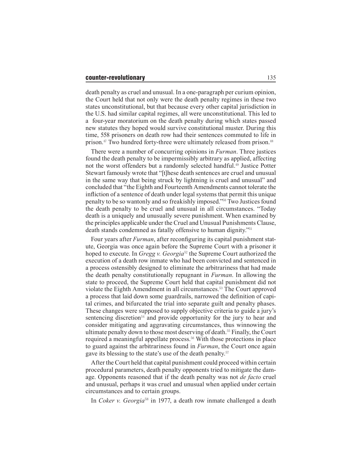death penalty as cruel and unusual. In a one-paragraph per curium opinion, the Court held that not only were the death penalty regimes in these two states unconstitutional, but that because every other capital jurisdiction in the U.S. had similar capital regimes, all were unconstitutional. This led to a four-year moratorium on the death penalty during which states passed new statutes they hoped would survive constitutional muster. During this time, 558 prisoners on death row had their sentences commuted to life in prison.<sup>47</sup> Two hundred forty-three were ultimately released from prison.<sup>48</sup>

There were a number of concurring opinions in *Furman*. Three justices found the death penalty to be impermissibly arbitrary as applied, affecting not the worst offenders but a randomly selected handful.<sup>49</sup> Justice Potter Stewart famously wrote that "[t]hese death sentences are cruel and unusual in the same way that being struck by lightning is cruel and unusual" and concluded that "the Eighth and Fourteenth Amendments cannot tolerate the infiction of a sentence of death under legal systems that permit this unique penalty to be so wantonly and so freakishly imposed."50 Two Justices found the death penalty to be cruel and unusual in all circumstances. "Today death is a uniquely and unusually severe punishment. When examined by the principles applicable under the Cruel and Unusual Punishments Clause, death stands condemned as fatally offensive to human dignity."<sup>51</sup>

Four years after *Furman*, after reconfguring its capital punishment statute, Georgia was once again before the Supreme Court with a prisoner it hoped to execute. In *Gregg v. Georgia*<sup>52</sup> the Supreme Court authorized the execution of a death row inmate who had been convicted and sentenced in a process ostensibly designed to eliminate the arbitrariness that had made the death penalty constitutionally repugnant in *Furman*. In allowing the state to proceed, the Supreme Court held that capital punishment did not violate the Eighth Amendment in all circumstances.53 The Court approved a process that laid down some guardrails, narrowed the defnition of capital crimes, and bifurcated the trial into separate guilt and penalty phases. These changes were supposed to supply objective criteria to guide a jury's sentencing discretion<sup>54</sup> and provide opportunity for the jury to hear and consider mitigating and aggravating circumstances, thus winnowing the ultimate penalty down to those most deserving of death.<sup>55</sup> Finally, the Court required a meaningful appellate process.<sup>56</sup> With those protections in place to guard against the arbitrariness found in *Furman*, the Court once again gave its blessing to the state's use of the death penalty.<sup>57</sup>

After the Court held that capital punishment could proceed within certain procedural parameters, death penalty opponents tried to mitigate the damage. Opponents reasoned that if the death penalty was not *de facto* cruel and unusual, perhaps it was cruel and unusual when applied under certain circumstances and to certain groups.

In *Coker v. Georgia*<sup>58</sup> in 1977, a death row inmate challenged a death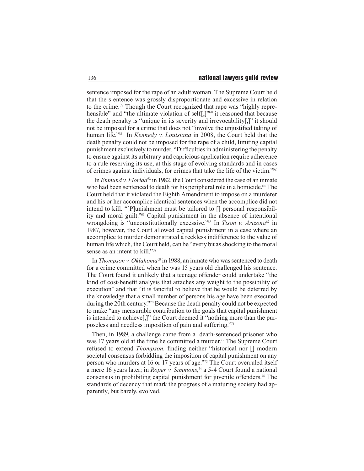sentence imposed for the rape of an adult woman. The Supreme Court held that the s entence was grossly disproportionate and excessive in relation to the crime.59 Though the Court recognized that rape was "highly reprehensible" and "the ultimate violation of self[,]"<sup>60</sup> it reasoned that because the death penalty is "unique in its severity and irrevocability[,]" it should not be imposed for a crime that does not "involve the unjustifed taking of human life."<sup>61</sup> In *Kennedy v. Louisiana* in 2008, the Court held that the death penalty could not be imposed for the rape of a child, limiting capital punishment exclusively to murder. "Diffculties in administering the penalty to ensure against its arbitrary and capricious application require adherence to a rule reserving its use, at this stage of evolving standards and in cases of crimes against individuals, for crimes that take the life of the victim."<sup>62</sup>

In *Enmund v. Florida*<sup>63</sup> in 1982, the Court considered the case of an inmate who had been sentenced to death for his peripheral role in a homicide.<sup>64</sup> The Court held that it violated the Eighth Amendment to impose on a murderer and his or her accomplice identical sentences when the accomplice did not intend to kill. "[P]unishment must be tailored to [] personal responsibility and moral guilt."65 Capital punishment in the absence of intentional wrongdoing is "unconstitutionally excessive."66 In *Tison v. Arizona*67 in 1987, however, the Court allowed capital punishment in a case where an accomplice to murder demonstrated a reckless indifference to the value of human life which, the Court held, can be "every bit as shocking to the moral sense as an intent to kill."<sup>68</sup>

In *Thompson v. Oklahoma*<sup>69</sup> in 1988, an inmate who was sentenced to death for a crime committed when he was 15 years old challenged his sentence. The Court found it unlikely that a teenage offender could undertake "the kind of cost-beneft analysis that attaches any weight to the possibility of execution" and that "it is fanciful to believe that he would be deterred by the knowledge that a small number of persons his age have been executed during the 20th century."70 Because the death penalty could not be expected to make "any measurable contribution to the goals that capital punishment is intended to achieve[,]" the Court deemed it "nothing more than the purposeless and needless imposition of pain and suffering."<sup>71</sup>

Then, in 1989, a challenge came from a death-sentenced prisoner who was 17 years old at the time he committed a murder.<sup>72</sup> The Supreme Court refused to extend *Thompson,* fnding neither "historical nor [] modern societal consensus forbidding the imposition of capital punishment on any person who murders at 16 or 17 years of age."73 The Court overruled itself a mere 16 years later; in *Roper v. Simmons,*74 a 5-4 Court found a national consensus in prohibiting capital punishment for juvenile offenders.75 The standards of decency that mark the progress of a maturing society had apparently, but barely, evolved.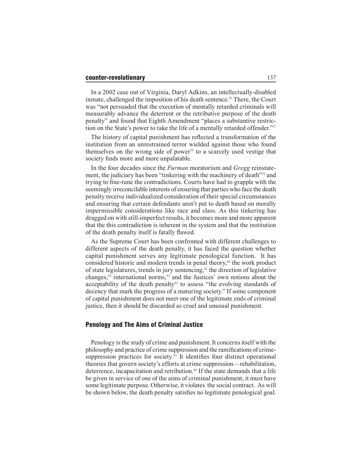In a 2002 case out of Virginia, Daryl Adkins, an intellectually-disabled inmate, challenged the imposition of his death sentence.<sup>76</sup> There, the Court was "not persuaded that the execution of mentally retarded criminals will measurably advance the deterrent or the retributive purpose of the death penalty" and found that Eighth Amendment "places a substantive restriction on the State's power to take the life of a mentally retarded offender."<sup>777</sup>

The history of capital punishment has refected a transformation of the institution from an unrestrained terror wielded against those who found themselves on the wrong side of power<sup>78</sup> to a scarcely used vestige that society fnds more and more unpalatable.

In the four decades since the *Furman* moratorium and *Gregg* reinstatement, the judiciary has been "tinkering with the machinery of death"79 and trying to fne-tune the contradictions. Courts have had to grapple with the seemingly irreconcilable interests of ensuring that parties who face the death penalty receive individualized consideration of their special circumstances and ensuring that certain defendants aren't put to death based on morally impermissible considerations like race and class. As this tinkering has dragged on with still-imperfect results, it becomes more and more apparent that the this contradiction is inherent in the system and that the institution of the death penalty itself is fatally fawed.

As the Supreme Court has been confronted with different challenges to different aspects of the death penalty, it has faced the question whether capital punishment serves any legitimate penological function. It has considered historic and modern trends in penal theory,<sup>80</sup> the work product of state legislatures, trends in jury sentencing, $s<sup>1</sup>$  the direction of legislative changes, $82$  international norms, $83$  and the Justices' own notions about the acceptability of the death penalty<sup>84</sup> to assess "the evolving standards of decency that mark the progress of a maturing society." If some component of capital punishment does not meet one of the legitimate ends of criminal justice, then it should be discarded as cruel and unusual punishment.

#### Penology and The Aims of Criminal Justice

Penology is the study of crime and punishment. It concerns itself with the philosophy and practice of crime suppression and the ramifcations of crimesuppression practices for society.<sup>85</sup> It identifies four distinct operational theories that govern society's efforts at crime suppression—rehabilitation, deterrence, incapacitation and retribution.<sup>86</sup> If the state demands that a life be given in service of one of the aims of criminal punishment, it must have some legitimate purpose. Otherwise, it violates the social contract. As will be shown below, the death penalty satisfes no legitimate penological goal.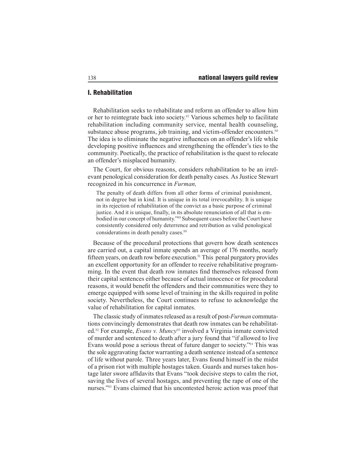## I. Rehabilitation

Rehabilitation seeks to rehabilitate and reform an offender to allow him or her to reintegrate back into society.87 Various schemes help to facilitate rehabilitation including community service, mental health counseling, substance abuse programs, job training, and victim-offender encounters.<sup>88</sup> The idea is to eliminate the negative infuences on an offender's life while developing positive infuences and strengthening the offender's ties to the community. Poetically, the practice of rehabilitation is the quest to relocate an offender's misplaced humanity.

The Court, for obvious reasons, considers rehabilitation to be an irrelevant penological consideration for death penalty cases. As Justice Stewart recognized in his concurrence in *Furman,*

The penalty of death differs from all other forms of criminal punishment, not in degree but in kind. It is unique in its total irrevocability. It is unique in its rejection of rehabilitation of the convict as a basic purpose of criminal justice. And it is unique, fnally, in its absolute renunciation of all that is embodied in our concept of humanity."89 Subsequent cases before the Court have consistently considered only deterrence and retribution as valid penological considerations in death penalty cases.<sup>90</sup>

Because of the procedural protections that govern how death sentences are carried out, a capital inmate spends an average of 176 months, nearly ffteen years, on death row before execution.91 This penal purgatory provides an excellent opportunity for an offender to receive rehabilitative programming. In the event that death row inmates fnd themselves released from their capital sentences either because of actual innocence or for procedural reasons, it would beneft the offenders and their communities were they to emerge equipped with some level of training in the skills required in polite society. Nevertheless, the Court continues to refuse to acknowledge the value of rehabilitation for capital inmates.

The classic study of inmates released as a result of post-*Furman* commutations convincingly demonstrates that death row inmates can be rehabilitated.92 For example, *Evans v. Muncy*93 involved a Virginia inmate convicted of murder and sentenced to death after a jury found that "if allowed to live Evans would pose a serious threat of future danger to society."94 This was the sole aggravating factor warranting a death sentence instead of a sentence of life without parole. Three years later, Evans found himself in the midst of a prison riot with multiple hostages taken. Guards and nurses taken hostage later swore affdavits that Evans "took decisive steps to calm the riot, saving the lives of several hostages, and preventing the rape of one of the nurses."95 Evans claimed that his uncontested heroic action was proof that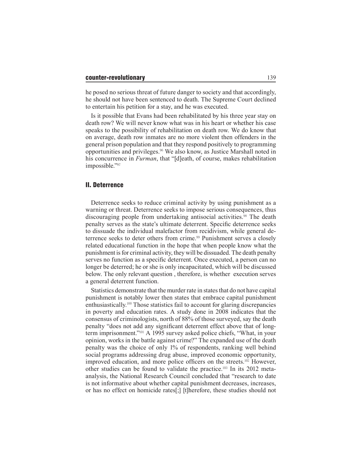he posed no serious threat of future danger to society and that accordingly, he should not have been sentenced to death. The Supreme Court declined to entertain his petition for a stay, and he was executed.

Is it possible that Evans had been rehabilitated by his three year stay on death row? We will never know what was in his heart or whether his case speaks to the possibility of rehabilitation on death row. We do know that on average, death row inmates are no more violent then offenders in the general prison population and that they respond positively to programming opportunities and privileges.96 We also know, as Justice Marshall noted in his concurrence in *Furman*, that "[d]eath, of course, makes rehabilitation impossible."<sup>97</sup>

#### II. Deterrence

Deterrence seeks to reduce criminal activity by using punishment as a warning or threat. Deterrence seeks to impose serious consequences, thus discouraging people from undertaking antisocial activities.<sup>98</sup> The death penalty serves as the state's ultimate deterrent. Specifc deterrence seeks to dissuade the individual malefactor from recidivism, while general deterrence seeks to deter others from crime.<sup>99</sup> Punishment serves a closely related educational function in the hope that when people know what the punishment is for criminal activity, they will be dissuaded. The death penalty serves no function as a specifc deterrent. Once executed, a person can no longer be deterred; he or she is only incapacitated, which will be discussed below. The only relevant question , therefore, is whether execution serves a general deterrent function.

Statistics demonstrate that the murder rate in states that do not have capital punishment is notably lower then states that embrace capital punishment enthusiastically.100 Those statistics fail to account for glaring discrepancies in poverty and education rates. A study done in 2008 indicates that the consensus of criminologists, north of 88% of those surveyed, say the death penalty "does not add any signifcant deterrent effect above that of longterm imprisonment."101 A 1995 survey asked police chiefs, "What, in your opinion, works in the battle against crime?" The expanded use of the death penalty was the choice of only 1% of respondents, ranking well behind social programs addressing drug abuse, improved economic opportunity, improved education, and more police officers on the streets.<sup>102</sup> However, other studies can be found to validate the practice.103 In its 2012 metaanalysis, the National Research Council concluded that "research to date is not informative about whether capital punishment decreases, increases, or has no effect on homicide rates[;] [t]herefore, these studies should not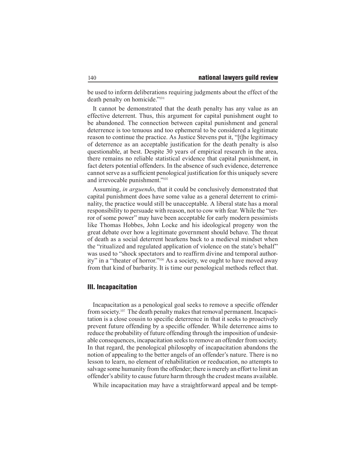be used to inform deliberations requiring judgments about the effect of the death penalty on homicide."<sup>104</sup>

It cannot be demonstrated that the death penalty has any value as an effective deterrent. Thus, this argument for capital punishment ought to be abandoned. The connection between capital punishment and general deterrence is too tenuous and too ephemeral to be considered a legitimate reason to continue the practice. As Justice Stevens put it, "[t]he legitimacy of deterrence as an acceptable justifcation for the death penalty is also questionable, at best. Despite 30 years of empirical research in the area, there remains no reliable statistical evidence that capital punishment, in fact deters potential offenders. In the absence of such evidence, deterrence cannot serve as a suffcient penological justifcation for this uniquely severe and irrevocable punishment."<sup>105</sup>

Assuming, *in arguendo*, that it could be conclusively demonstrated that capital punishment does have some value as a general deterrent to criminality, the practice would still be unacceptable. A liberal state has a moral responsibility to persuade with reason, not to cow with fear. While the "terror of some power" may have been acceptable for early modern pessimists like Thomas Hobbes, John Locke and his ideological progeny won the great debate over how a legitimate government should behave. The threat of death as a social deterrent hearkens back to a medieval mindset when the "ritualized and regulated application of violence on the state's behalf" was used to "shock spectators and to reaffrm divine and temporal authority" in a "theater of horror."106 As a society, we ought to have moved away from that kind of barbarity. It is time our penological methods refect that.

# III. Incapacitation

Incapacitation as a penological goal seeks to remove a specifc offender from society.107 The death penalty makes that removal permanent. Incapacitation is a close cousin to specifc deterrence in that it seeks to proactively prevent future offending by a specifc offender. While deterrence aims to reduce the probability of future offending through the imposition of undesirable consequences, incapacitation seeks to remove an offender from society. In that regard, the penological philosophy of incapacitation abandons the notion of appealing to the better angels of an offender's nature. There is no lesson to learn, no element of rehabilitation or reeducation, no attempts to salvage some humanity from the offender; there is merely an effort to limit an offender's ability to cause future harm through the crudest means available.

While incapacitation may have a straightforward appeal and be tempt-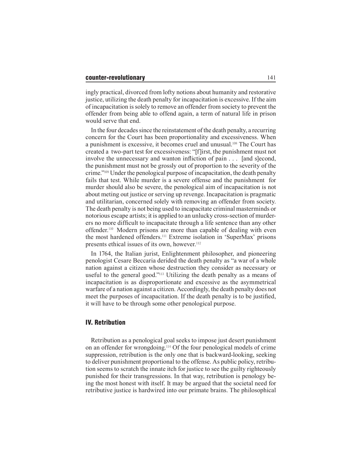ingly practical, divorced from lofty notions about humanity and restorative justice, utilizing the death penalty for incapacitation is excessive. If the aim of incapacitation is solely to remove an offender from society to prevent the offender from being able to offend again, a term of natural life in prison would serve that end.

In the four decades since the reinstatement of the death penalty, a recurring concern for the Court has been proportionality and excessiveness. When a punishment is excessive, it becomes cruel and unusual.108 The Court has created a two-part test for excessiveness: "[f]irst, the punishment must not involve the unnecessary and wanton infiction of pain . . . [and s]econd, the punishment must not be grossly out of proportion to the severity of the crime."109 Under the penological purpose of incapacitation, the death penalty fails that test. While murder is a severe offense and the punishment for murder should also be severe, the penological aim of incapacitation is not about meting out justice or serving up revenge. Incapacitation is pragmatic and utilitarian, concerned solely with removing an offender from society. The death penalty is not being used to incapacitate criminal masterminds or notorious escape artists; it is applied to an unlucky cross-section of murderers no more diffcult to incapacitate through a life sentence than any other offender.<sup>110</sup> Modern prisons are more than capable of dealing with even the most hardened offenders.111 Extreme isolation in 'SuperMax' prisons presents ethical issues of its own, however.<sup>112</sup>

In 1764, the Italian jurist, Enlightenment philosopher, and pioneering penologist Cesare Beccaria derided the death penalty as "a war of a whole nation against a citizen whose destruction they consider as necessary or useful to the general good."113 Utilizing the death penalty as a means of incapacitation is as disproportionate and excessive as the asymmetrical warfare of a nation against a citizen. Accordingly, the death penalty does not meet the purposes of incapacitation. If the death penalty is to be justifed, it will have to be through some other penological purpose.

# IV. Retribution

Retribution as a penological goal seeks to impose just desert punishment on an offender for wrongdoing.114 Of the four penological models of crime suppression, retribution is the only one that is backward-looking, seeking to deliver punishment proportional to the offense. As public policy, retribution seems to scratch the innate itch for justice to see the guilty righteously punished for their transgressions. In that way, retribution is penology being the most honest with itself. It may be argued that the societal need for retributive justice is hardwired into our primate brains. The philosophical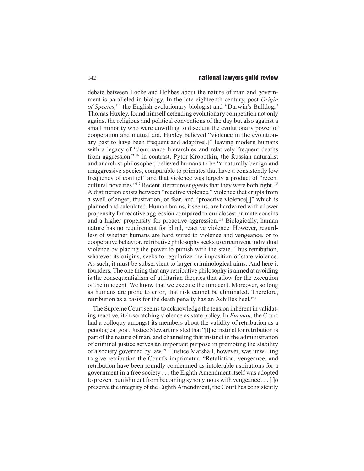debate between Locke and Hobbes about the nature of man and government is paralleled in biology. In the late eighteenth century, post-*Origin of Species,*115 the English evolutionary biologist and "Darwin's Bulldog," Thomas Huxley, found himself defending evolutionary competition not only against the religious and political conventions of the day but also against a small minority who were unwilling to discount the evolutionary power of cooperation and mutual aid. Huxley believed "violence in the evolutionary past to have been frequent and adaptive[,]" leaving modern humans with a legacy of "dominance hierarchies and relatively frequent deaths from aggression."116 In contrast, Pytor Kropotkin, the Russian naturalist and anarchist philosopher, believed humans to be "a naturally benign and unaggressive species, comparable to primates that have a consistently low frequency of confict" and that violence was largely a product of "recent cultural novelties."117 Recent literature suggests that they were both right.<sup>118</sup> A distinction exists between "reactive violence," violence that erupts from a swell of anger, frustration, or fear, and "proactive violence[,]" which is planned and calculated. Human brains, it seems, are hardwired with a lower propensity for reactive aggression compared to our closest primate cousins and a higher propensity for proactive aggression.<sup>119</sup> Biologically, human nature has no requirement for blind, reactive violence. However, regardless of whether humans are hard wired to violence and vengeance, or to cooperative behavior, retributive philosophy seeks to circumvent individual violence by placing the power to punish with the state. Thus retribution, whatever its origins, seeks to regularize the imposition of state violence. As such, it must be subservient to larger criminological aims. And here it founders. The one thing that any retributive philosophy is aimed at avoiding is the consequentialism of utilitarian theories that allow for the execution of the innocent. We know that we execute the innocent. Moreover, so long as humans are prone to error, that risk cannot be eliminated. Therefore, retribution as a basis for the death penalty has an Achilles heel.<sup>120</sup>

The Supreme Court seems to acknowledge the tension inherent in validating reactive, itch-scratching violence as state policy. In *Furman*, the Court had a colloquy amongst its members about the validity of retribution as a penological goal. Justice Stewart insisted that "[t]he instinct for retribution is part of the nature of man, and channeling that instinct in the administration of criminal justice serves an important purpose in promoting the stability of a society governed by law."121 Justice Marshall, however, was unwilling to give retribution the Court's imprimatur. "Retaliation, vengeance, and retribution have been roundly condemned as intolerable aspirations for a government in a free society . . . the Eighth Amendment itself was adopted to prevent punishment from becoming synonymous with vengeance . . . [t]o preserve the integrity of the Eighth Amendment, the Court has consistently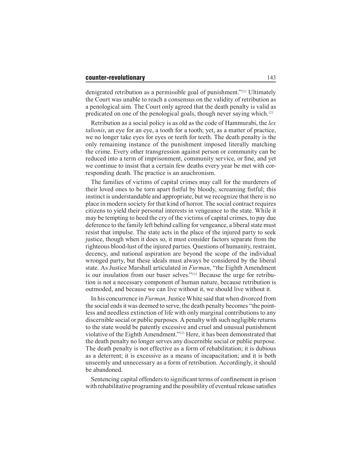denigrated retribution as a permissible goal of punishment."122 Ultimately the Court was unable to reach a consensus on the validity of retribution as a penological aim. The Court only agreed that the death penalty is valid as predicated on one of the penological goals, though never saying which.<sup>123</sup>

Retribution as a social policy is as old as the code of Hammurabi, the *lex talionis*, an eye for an eye, a tooth for a tooth; yet, as a matter of practice, we no longer take eyes for eyes or teeth for teeth. The death penalty is the only remaining instance of the punishment imposed literally matching the crime. Every other transgression against person or community can be reduced into a term of imprisonment, community service, or fne, and yet we continue to insist that a certain few deaths every year be met with corresponding death. The practice is an anachronism.

The families of victims of capital crimes may call for the murderers of their loved ones to be torn apart fstful by bloody, screaming fstful; this instinct is understandable and appropriate, but we recognize that there is no place in modern society for that kind of horror. The social contract requires citizens to yield their personal interests in vengeance to the state. While it may be tempting to heed the cry of the victims of capital crimes, to pay due deference to the family left behind calling for vengeance, a liberal state must resist that impulse. The state acts in the place of the injured party to seek justice, though when it does so, it must consider factors separate from the righteous blood-lust of the injured parties. Questions of humanity, restraint, decency, and national aspiration are beyond the scope of the individual wronged party, but these ideals must always be considered by the liberal state. As Justice Marshall articulated in *Furman*, "the Eighth Amendment is our insulation from our baser selves."124 Because the urge for retribution is not a necessary component of human nature, because retribution is outmoded, and because we can live without it, we should live without it.

In his concurrence in *Furman,* Justice White said that when divorced from the social ends it was deemed to serve, the death penalty becomes "the pointless and needless extinction of life with only marginal contributions to any discernible social or public purposes. A penalty with such negligible returns to the state would be patently excessive and cruel and unusual punishment violative of the Eighth Amendment."125 Here, it has been demonstrated that the death penalty no longer serves any discernible social or public purpose. The death penalty is not effective as a form of rehabilitation; it is dubious as a deterrent; it is excessive as a means of incapacitation; and it is both unseemly and unnecessary as a form of retribution. Accordingly, it should be abandoned.

Sentencing capital offenders to signifcant terms of confnement in prison with rehabilitative programing and the possibility of eventual release satisfes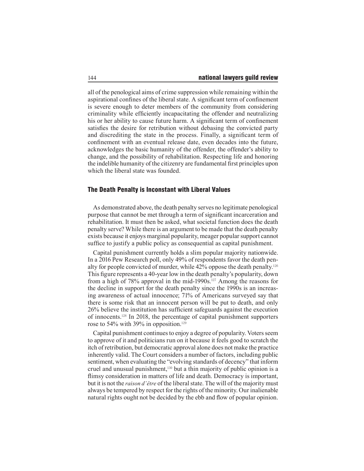all of the penological aims of crime suppression while remaining within the aspirational confnes of the liberal state. A signifcant term of confnement is severe enough to deter members of the community from considering criminality while effciently incapacitating the offender and neutralizing his or her ability to cause future harm. A signifcant term of confnement satisfes the desire for retribution without debasing the convicted party and discrediting the state in the process. Finally, a signifcant term of confnement with an eventual release date, even decades into the future, acknowledges the basic humanity of the offender, the offender's ability to change, and the possibility of rehabilitation. Respecting life and honoring the indelible humanity of the citizenry are fundamental frst principles upon which the liberal state was founded.

#### The Death Penalty is Inconstant with Liberal Values

As demonstrated above, the death penalty serves no legitimate penological purpose that cannot be met through a term of signifcant incarceration and rehabilitation. It must then be asked, what societal function does the death penalty serve? While there is an argument to be made that the death penalty exists because it enjoys marginal popularity, meager popular support cannot suffce to justify a public policy as consequential as capital punishment.

Capital punishment currently holds a slim popular majority nationwide. In a 2016 Pew Research poll, only 49% of respondents favor the death penalty for people convicted of murder, while  $42\%$  oppose the death penalty.<sup>126</sup> This fgure represents a 40-year low in the death penalty's popularity, down from a high of 78% approval in the mid-1990s.<sup>127</sup> Among the reasons for the decline in support for the death penalty since the 1990s is an increasing awareness of actual innocence; 71% of Americans surveyed say that there is some risk that an innocent person will be put to death, and only 26% believe the institution has suffcient safeguards against the execution of innocents.128 In 2018, the percentage of capital punishment supporters rose to 54% with 39% in opposition.<sup>129</sup>

Capital punishment continues to enjoy a degree of popularity. Voters seem to approve of it and politicians run on it because it feels good to scratch the itch of retribution, but democratic approval alone does not make the practice inherently valid. The Court considers a number of factors, including public sentiment, when evaluating the "evolving standards of decency" that inform cruel and unusual punishment,<sup>130</sup> but a thin majority of public opinion is a fimsy consideration in matters of life and death. Democracy is important, but it is not the *raison d'être* of the liberal state. The will of the majority must always be tempered by respect for the rights of the minority. Our inalienable natural rights ought not be decided by the ebb and fow of popular opinion.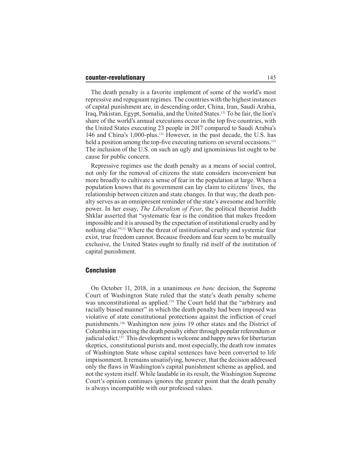#### counter-revolutionary and the state of the state of the state of the state of the state of the state of the state of the state of the state of the state of the state of the state of the state of the state of the state of t

The death penalty is a favorite implement of some of the world's most repressive and repugnant regimes. The countries with the highest instances of capital punishment are, in descending order, China, Iran, Saudi Arabia, Iraq, Pakistan, Egypt, Somalia, and the United States.131 To be fair, the lion's share of the world's annual executions occur in the top fve countries, with the United States executing 23 people in 2017 compared to Saudi Arabia's 146 and China's 1,000-plus.132 However, in the past decade, the U.S. has held a position among the top-five executing nations on several occasions.<sup>133</sup> The inclusion of the U.S. on such an ugly and ignominious list ought to be cause for public concern.

Repressive regimes use the death penalty as a means of social control, not only for the removal of citizens the state considers inconvenient but more broadly to cultivate a sense of fear in the population at large. When a population knows that its government can lay claim to citizens' lives, the relationship between citizen and state changes. In that way, the death penalty serves as an omnipresent reminder of the state's awesome and horrible power. In her essay, *The Liberalism of Fear*, the political theorist Judith Shklar asserted that "systematic fear is the condition that makes freedom impossible and it is aroused by the expectation of institutional cruelty and by nothing else."134 Where the threat of institutional cruelty and systemic fear exist, true freedom cannot. Because freedom and fear seem to be mutually exclusive, the United States ought to fnally rid itself of the institution of capital punishment.

### Conclusion

On October 11, 2018, in a unanimous *en banc* decision, the Supreme Court of Washington State ruled that the state's death penalty scheme was unconstitutional as applied.<sup>135</sup> The Court held that the "arbitrary and racially biased manner" in which the death penalty had been imposed was violative of state constitutional protections against the infiction of cruel punishments.136 Washington now joins 19 other states and the District of Columbia in rejecting the death penalty either through popular referendum or judicial edict.137 This development is welcome and happy news for libertarian skeptics, constitutional purists and, most especially, the death row inmates of Washington State whose capital sentences have been converted to life imprisonment. It remains unsatisfying, however, that the decision addressed only the faws in Washington's capital punishment scheme as applied, and not the system itself. While laudable in its result, the Washington Supreme Court's opinion continues ignores the greater point that the death penalty is always incompatible with our professed values.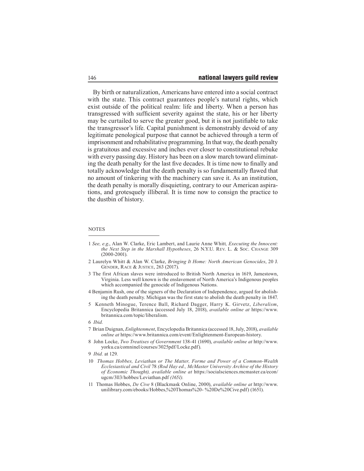By birth or naturalization, Americans have entered into a social contract with the state. This contract guarantees people's natural rights, which exist outside of the political realm: life and liberty. When a person has transgressed with suffcient severity against the state, his or her liberty may be curtailed to serve the greater good, but it is not justifable to take the transgressor's life. Capital punishment is demonstrably devoid of any legitimate penological purpose that cannot be achieved through a term of imprisonment and rehabilitative programming. In that way, the death penalty is gratuitous and excessive and inches ever closer to constitutional rebuke with every passing day. History has been on a slow march toward eliminating the death penalty for the last fve decades. It is time now to fnally and totally acknowledge that the death penalty is so fundamentally fawed that no amount of tinkering with the machinery can save it. As an institution, the death penalty is morally disquieting, contrary to our American aspirations, and grotesquely illiberal. It is time now to consign the practice to the dustbin of history.

#### **NOTES**

- 2 Laurelyn Whitt & Alan W. Clarke, *Bringing It Home: North American Genocides*, 20 J. GENDER, RACE & JUSTICE, 263 (2017).
- 3 The first African slaves were introduced to British North America in 1619, Jamestown, Virginia. Less well known is the enslavement of North America's Indigenous peoples which accompanied the genocide of Indigenous Nations.
- 4 Benjamin Rush, one of the signers of the Declaration of Independence, argued for abolishing the death penalty. Michigan was the first state to abolish the death penalty in 1847.
- 5 Kenneth Minogue, Terence Ball, Richard Dagger, Harry K. Girvetz, *Liberalism*, Encyclopedia Britannica (accessed July 18, 2018), *available online at* https://www. britannica.com/topic/liberalism.

- 7 Brian Duignan, *Enlightenment*, Encyclopedia Britannica (accessed 18, July, 2018), *available online at* https://www.britannica.com/event/Enlightenment-European-history.
- 8 John Locke, *Two Treatises of Government* 138-41 (1690), *available online at* http://www. yorku.ca/comninel/courses/3025pdf/Locke.pdf).

- 10 *Thomas Hobbes, Leviathan or The Matter, Forme and Power of a Common-Wealth Ecclesiastical and Civil* 78 *(Rod Hay ed., McMaster University Archive of the History of Economic Thought), available online at* https://socialsciences.mcmaster.ca/econ/ ugcm/3ll3/hobbes/Leviathan.pdf *(1651).*
- 11 Thomas Hobbes, *De Cive* 8 (Blackmask Online, 2000), *available online at* http://www. unilibrary.com/ebooks/Hobbes,%20Thomas%20- %20De%20Cive.pdf) (1651).

<sup>1</sup> *See, e.g*., Alan W. Clarke, Eric Lambert, and Laurie Anne Whitt*, Executing the Innocent: the Next Step in the Marshall Hypotheses*, 26 N.Y.U. REV. L. & Soc. CHANGE 309 (2000-2001).

<sup>6</sup> *Ibid.*

<sup>9</sup> *Ibid.* at 129.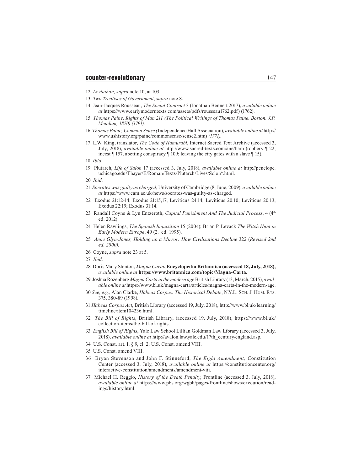- 12 *Leviathan, supra* note 10, at 103.
- 13 *Two Treatises of Government*, *supra* note 8.
- 14 Jean-Jacques Rousseau, *The Social Contract* 3 (Jonathan Bennett 2017), *available online at* https://www.earlymoderntexts.com/assets/pdfs/rousseau1762.pdf) (1762).
- 15 *Thomas Paine, Rights of Man 211 (The Political Writings of Thomas Paine, Boston, J.P. Mendum, 1870) (1791).*
- 16 *Thomas Paine, Common Sense (*Independence Hall Association), *available online at* http:// www.ushistory.org/paine/commonsense/sense2.htm) *(1771).*
- 17 L.W. King, translator, *The Code of Hamurabi*, Internet Sacred Text Archive (accessed 3, July, 2018), *available online at* http://www.sacred-texts.com/ane/ham (robbery ¶ 22; incest ¶ 157; abetting conspiracy ¶ 109; leaving the city gates with a slave ¶ 15).

- 19 Plutarch, *Life of Salon* 17 (accessed 3, July, 2018), *available online at* http://penelope. uchicago.edu/Thayer/E/Roman/Texts/Plutarch/Lives/Solon\*.html.
- 20 *Ibid*.
- 21 *Socrates was guilty as charged*, University of Cambridge (8, June, 2009), *available online at* https://www.cam.ac.uk/news/socrates-was-guilty-as-charged.
- 22 Exodus 21:12-14; Exodus 21:15,17; Leviticus 24:14; Leviticus 20:10; Leviticus 20:13, Exodus 22:19; Exodus 31:14.
- 23 Randall Coyne & Lyn Entzeroth, *Capital Punishment And The Judicial Process*, 4 (4th ed. 2012).
- 24 Helen Rawlings, *The Spanish Inquisition* 15 (2004); Brian P. Levack *The Witch Hunt in Early Modern Europe*, 49 (2. ed. 1995).
- 25 *Anne Glyn-Jones, Holding up a Mirror: How Civilizations Decline* 322 (*Revised 2nd ed. 2000).*
- 26 Coyne, *supra* note 23 at 5.
- 27 *Ibid*.
- 28 Doris Mary Stenton, *Magna Carta***, Encyclopedia Britannica (accessed 18, July, 2018),**  *available online at* **https://www.britannica.com/topic/Magna-Carta.**
- 29 Joshua Rozenberg *Magna Carta in the modern age* British Library (13, March, 2015), *available online at* https://www.bl.uk/magna-carta/articles/magna-carta-in-the-modern-age.
- 30 *See, e.g.,* Alan Clarke, *Habeas Corpus: The Historical Debate*, N.y.l. sch. J. hum. rts. 375, 380-89 (1998).
- 31 *Habeas Corpus Act*, British Library (accessed 19, July, 2018), http://www.bl.uk/learning/ timeline/item104236.html.
- 32 *The Bill of Rights*, British Library, (accessed 19, July, 2018), https://www.bl.uk/ collection-items/the-bill-of-rights.
- 33 *English Bill of Rights*, Yale Law School Lillian Goldman Law Library (accessed 3, July, 2018), *available online at* http://avalon.law.yale.edu/17th\_century/england.asp.
- 34 U.S. Const. art. I, § 9, cl. 2; U.S. Const. amend VIII.
- 35 U.S. Const. amend VIII.
- 36 Bryan Stevenson and John F. Stinneford, *The Eight Amendment,* Constitution Center (accessed 3, July, 2018), *available online at* https://constitutioncenter.org/ interactive-constitution/amendments/amendment-viii.
- 37 Michael H. Reggio, *History of the Death Penalty*, Frontline (accessed 3, July, 2018), *available online at* https://www.pbs.org/wgbh/pages/frontline/shows/execution/readings/history.html.

<sup>18</sup> *Ibid*.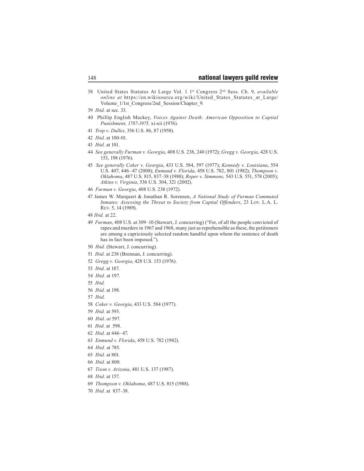- 38 United States Statutes At Large Vol. 1 1st Congress 2nd Sess. Ch. 9, *available online at https://en.wikisource.org/wiki/United States Statutes at Large/* Volume  $1/1$ st Congress/2nd Session/Chapter 9.
- *Ibid.* at sec. 33.
- 40 Phillip English Mackey, *Voices Against Death: American Opposition to Capital Punishment, 1787-1975,* xi-xii (1976).
- *Trop v. Dulles*, 356 U.S. 86, 87 (1958).
- *Ibid.* at 100-01.
- *Ibid.* at 101.
- *See generally Furman v. Georgia*, 408 U.S. 238, 240 (1972); *Gregg v. Georgia*, 428 U.S. 153, 198 (1976).
- *See generally Coker v. Georgia*, 433 U.S. 584, 597 (1977); *Kennedy v. Louisiana*, 554 U.S. 407, 446–47 (2008); *Enmund v. Florida*, 458 U.S. 782, 801 (1982); *Thompson v. Oklahoma*, 487 U.S. 815, 837–38 (1988); *Roper v. Simmons,* 543 U.S. 551, 578 (2005); *Atkins v. Virginia*, 536 U.S. 304, 321 (2002).
- *Furman v. Georgia*, 408 U.S. 238 (1972).
- 47 James W. Marquart & Jonathan R. Sorensen, *A National Study of Furman Commuted Inmates: Assessing the Threat to Society from Capital Offenders*, 23 Loy. L.A. L. REV. 5, 14 (1989).
- *Ibid.* at 22.
- *Furman*, 408 U.S. at 309–10 (Stewart, J. concurring) ("For, of all the people convicted of rapes and murders in 1967 and 1968, many just as reprehensible as these, the petitioners are among a capriciously selected random handful upon whom the sentence of death has in fact been imposed.").
- *Ibid.* (Stewart, J. concurring).
- *Ibid.* at 238 (Brennan, J. concurring).
- *Gregg v. Georgia*, 428 U.S. 153 (1976).
- *Ibid.* at 187.
- *Ibid.* at 197.
- *Ibid.*
- *Ibid.* at 198.
- *Ibid.*
- *Coker v. Georgia*, 433 U.S. 584 (1977).
- *Ibid.* at 593.
- *Ibid. at* 597.
- *Ibid.* at 598.
- *Ibid.* at 446–47.
- *Enmund v. Florida*, 458 U.S. 782 (1982).
- *Ibid.* at 785.
- *Ibid.* at 801.
- *Ibid.* at 800.
- *Tison v. Arizona*, 481 U.S. 137 (1987).
- *Ibid.* at 157.
- *Thompson v. Oklahoma*, 487 U.S. 815 (1988).
- *Ibid.* at 837–38.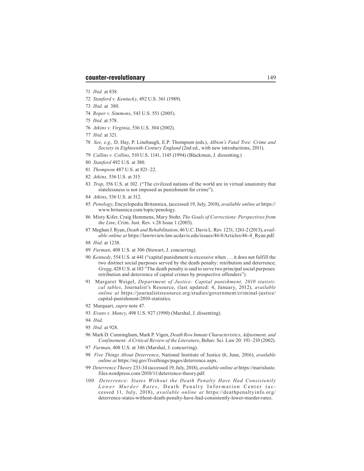- 71 *Ibid.* at 838.
- 72 *Stanford v. Kentucky*, 492 U.S. 361 (1989).
- 73 *Ibid.* at 380.
- 74 *Roper v. Simmons*, 543 U.S. 551 (2005).
- 75 *Ibid.* at 578.
- 76 *Atkins v. Virginia*, 536 U.S. 304 (2002).
- 77 *Ibid.* at 321.
- 78 *See, e.g.,* D. Hay, P. Linebaugh, E.P. Thompson (eds.), *Albion's Fatal Tree: Crime and Society in Eighteenth-Century England* (2nd ed., with new introductions, 2011).
- 79 *Callins v. Collins*, 510 U.S. 1141, 1145 (1994) (Blackmun, J. dissenting.)
- 80 *Stanford* 492 U.S. at 380.
- 81 *Thompson* 487 U.S. at 821–22.
- 82 *Atkins,* 536 U.S. at 315.
- 83 *Trop*, 356 U.S. at 102. ("The civilized nations of the world are in virtual unanimity that statelessness is not imposed as punishment for crime").
- 84 *Atkins*, 536 U.S. at 312.
- 85 *Penology*, Encyclopedia Britannica, (accessed 19, July, 2018), *available online at* https:// www.britannica.com/topic/penology.
- 86 Misty Kifer, Craig Hemmens, Mary Stohr, *The Goals of Corrections: Perspectives from the Line*, Crim. Just. Rev. v.28 Issue 1 (2003).
- 87 Meghan J. Ryan, *Death and Rehabilitation*, 46 U.C. Davis L. Rev. 1231, 1261-2 (2013), *available online at* https://lawreview.law.ucdavis.edu/issues/46/4/Articles/46-4\_Ryan.pdf.
- 88 *Ibid*. at 1238.
- 89 *Furman*, 408 U.S. at 306 (Stewart, J. concurring).
- 90 *Kennedy*, 554 U.S. at 441 ("capital punishment is excessive when . . . it does not fulfill the two distinct social purposes served by the death penalty: retribution and deterrence; *Gregg*, 428 U.S. at 183 "The death penalty is said to serve two principal social purposes: retribution and deterrence of capital crimes by prospective offenders").
- 91 Margaret Weigel, *Department of Justice: Capital punishment, 2010 statistical tables*, Journalist's Resource, (last updated: 4, January, 2012), *available online at* https://journalistsresource.org/studies/government/criminal-justice/ capital-punishment-2010-statistics.
- 92 Marquart, *supra* note 47.
- 93 *Evans v. Muncy*, 498 U.S. 927 (1990) (Marshal, J. dissenting).
- 94 *Ibid.*
- 95 *Ibid.* at 928.
- 96 Mark D. Cunningham, Mark P. Vigen, *Death Row Inmate Characteristics, Adjustment, and Confinement: A Critical Review of the Literature*, Behav. Sci. Law 20: 191–210 (2002).
- 97 *Furman*, 408 U.S. at 346 (Marshal, J. concurring).
- 98 *Five Things About Deterrence*, National Institute of Justice (6, June, 2016), *available online at* https://nij.gov/fivethings/pages/deterrence.aspx.
- 99 *Deterrence Theory* 233-34 (accessed 19, July, 2018), *available online at* https://marisluste. files.wordpress.com/2010/11/deterrence-theory.pdf.
- 100 *Deterrence: States Without the Death Penalty Have Had Consistently Lower Murder Rates*, Death Penalty Information Center (ac cessed 11, July, 2018), *available online at* https://deathpenaltyinfo.org/ deterrence-states-without-death-penalty-have-had-consistently-lower-murder-rates.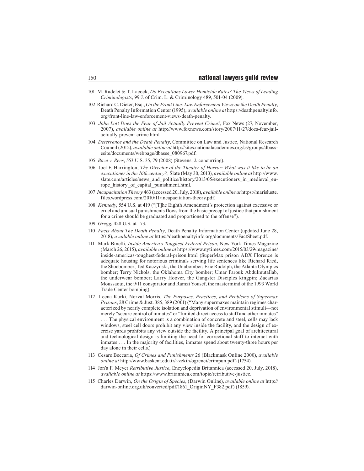- 101 M. Radelet & T. Lacock, *Do Executions Lower Homicide Rates? The Views of Leading Criminologists*, 99 J. of Crim. L. & Criminology 489, 501-04 (2009).
- 102 Richard C. Dieter, Esq., *On the Front Line: Law Enforcement Views on the Death Penalty*, Death Penalty Information Center (1995), *available online at* https://deathpenaltyinfo. org/front-line-law-enforcement-views-death-penalty.
- 103 *John Lott Does the Fear of Jail Actually Prevent Crime?*, Fox News (27, November, 2007), *available online at* http://www.foxnews.com/story/2007/11/27/does-fear-jailactually-prevent-crime.html.
- 104 *Deterrence and the Death Penalty*, Committee on Law and Justice, National Research Council (2012), *available online at* http://sites.nationalacademies.org/cs/groups/dbassesite/documents/webpage/dbasse\_080967.pdf.
- 105 *Baze v. Rees*, 553 U.S. 35, 79 (2008) (Stevens, J. concurring).
- 106 Joel F. Harrington, *The Director of the Theater of Horror: What was it like to be an executioner in the 16th century?*, Slate (May 30, 2013), *available online at* http://www. slate.com/articles/news\_and\_politics/history/2013/05/executioners\_in\_medieval\_europe history of capital punishment.html.
- 107 *Incapacitation Theory* 463 (accessed 20, July, 2018), *available online at* https://marisluste. files.wordpress.com/2010/11/incapacitation-theory.pdf.
- 108 *Kennedy*, 554 U.S. at 419 ("[T]he Eighth Amendment's protection against excessive or cruel and unusual punishments flows from the basic precept of justice that punishment for a crime should be graduated and proportioned to the offense").
- 109 *Gregg*, 428 U.S. at 173.
- 110 *Facts About The Death Penalty*, Death Penalty Information Center (updated June 28, 2018), *available online at* https://deathpenaltyinfo.org/documents/FactSheet.pdf.
- 111 Mark Binelli, *Inside America's Toughest Federal Prison*, New York Times Magazine (March 26, 2015), *available online at* https://www.nytimes.com/2015/03/29/magazine/ inside-americas-toughest-federal-prison.html (SuperMax prison ADX Florence is adequate housing for notorious criminals serving life sentences like Richard Ried, the Shoebomber; Ted Kaczynski, the Unabomber; Eric Rudolph, the Atlanta Olympics bomber; Terry Nichols, the Oklahoma City bomber; Umar Farouk Abdulmutallab, the underwear bomber; Larry Hoover, the Gangster Disciples kingpin; Zacarias Moussaoui, the 9/11 conspirator and Ramzi Yousef, the mastermind of the 1993 World Trade Center bombing).
- 112 Leena Kurki, Norval Morris. *The Purposes, Practices, and Problems of Supermax Prisons*, 28 Crime & Just. 385, 389 (2001) ("Many supermaxes maintain regimes characterized by nearly complete isolation and deprivation of environmental stimuli—not merely "secure control of inmates" or "limited direct access to staff and other inmates" . . . The physical environment is a combination of concrete and steel, cells may lack windows, steel cell doors prohibit any view inside the facility, and the design of exercise yards prohibits any view outside the facility. A principal goal of architectural and technological design is limiting the need for correctional staff to interact with inmates . . . In the majority of facilities, inmates spend about twenty-three hours per day alone in their cells.)
- 113 Cesare Beccaria, *Of Crimes and Punishments* 26 (Blackmask Online 2000), *available online at* http://www.baskent.edu.tr/~zekih/ogrenci/crimpun.pdf) (1754).
- 114 Jon'a F. Meyer *Retributive Justice*, Encyclopedia Britannica (accessed 20, July, 2018), *available online at* https://www.britannica.com/topic/retributive-justice.
- 115 Charles Darwin, *On the Origin of Species*, (Darwin Online), *available online at* http:// darwin-online.org.uk/converted/pdf/1861\_OriginNY\_F382.pdf) (1859).